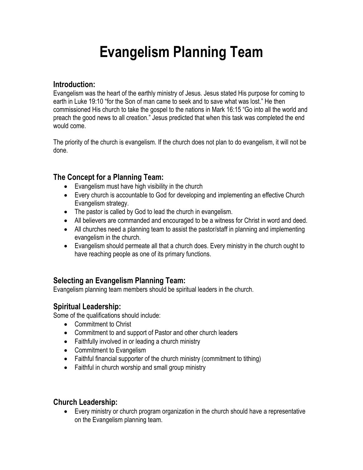# **Evangelism Planning Team**

#### **Introduction:**

Evangelism was the heart of the earthly ministry of Jesus. Jesus stated His purpose for coming to earth in Luke 19:10 "for the Son of man came to seek and to save what was lost." He then commissioned His church to take the gospel to the nations in Mark 16:15 "Go into all the world and preach the good news to all creation." Jesus predicted that when this task was completed the end would come.

The priority of the church is evangelism. If the church does not plan to do evangelism, it will not be done.

#### **The Concept for a Planning Team:**

- Evangelism must have high visibility in the church
- Every church is accountable to God for developing and implementing an effective Church Evangelism strategy.
- The pastor is called by God to lead the church in evangelism.
- All believers are commanded and encouraged to be a witness for Christ in word and deed.
- All churches need a planning team to assist the pastor/staff in planning and implementing evangelism in the church.
- Evangelism should permeate all that a church does. Every ministry in the church ought to have reaching people as one of its primary functions.

#### **Selecting an Evangelism Planning Team:**

Evangelism planning team members should be spiritual leaders in the church.

#### **Spiritual Leadership:**

Some of the qualifications should include:

- Commitment to Christ
- Commitment to and support of Pastor and other church leaders
- Faithfully involved in or leading a church ministry
- Commitment to Evangelism
- Faithful financial supporter of the church ministry (commitment to tithing)
- Faithful in church worship and small group ministry

#### **Church Leadership:**

• Every ministry or church program organization in the church should have a representative on the Evangelism planning team.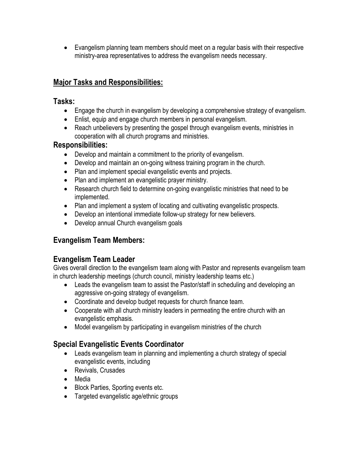• Evangelism planning team members should meet on a regular basis with their respective ministry-area representatives to address the evangelism needs necessary.

### **Major Tasks and Responsibilities:**

#### **Tasks:**

- Engage the church in evangelism by developing a comprehensive strategy of evangelism.
- Enlist, equip and engage church members in personal evangelism.
- Reach unbelievers by presenting the gospel through evangelism events, ministries in cooperation with all church programs and ministries.

#### **Responsibilities:**

- Develop and maintain a commitment to the priority of evangelism.
- Develop and maintain an on-going witness training program in the church.
- Plan and implement special evangelistic events and projects.
- Plan and implement an evangelistic prayer ministry.
- Research church field to determine on-going evangelistic ministries that need to be implemented.
- Plan and implement a system of locating and cultivating evangelistic prospects.
- Develop an intentional immediate follow-up strategy for new believers.
- Develop annual Church evangelism goals

# **Evangelism Team Members:**

# **Evangelism Team Leader**

Gives overall direction to the evangelism team along with Pastor and represents evangelism team in church leadership meetings (church council, ministry leadership teams etc.)

- Leads the evangelism team to assist the Pastor/staff in scheduling and developing an aggressive on-going strategy of evangelism.
- Coordinate and develop budget requests for church finance team.
- Cooperate with all church ministry leaders in permeating the entire church with an evangelistic emphasis.
- Model evangelism by participating in evangelism ministries of the church

# **Special Evangelistic Events Coordinator**

- Leads evangelism team in planning and implementing a church strategy of special evangelistic events, including
- Revivals, Crusades
- Media
- Block Parties, Sporting events etc.
- Targeted evangelistic age/ethnic groups